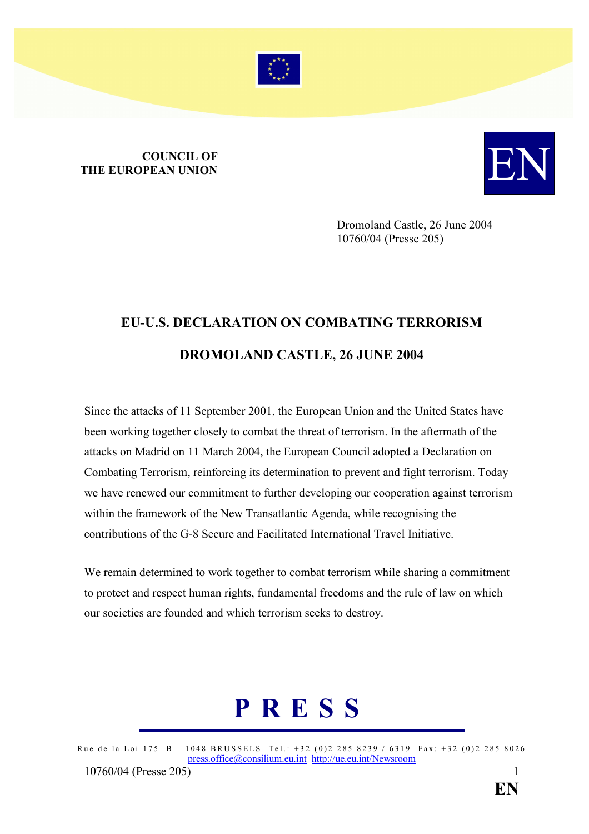

## **COUNCIL OF**<br>THE EUROPEAN UNION COUNCIL OF **EUROPEAN UNION**



Dromoland Castle, 26 June 2004 10760/04 (Presse 205)

## EU-U.S. DECLARATION ON COMBATING TERRORISM DROMOLAND CASTLE, 26 JUNE 2004

Since the attacks of 11 September 2001, the European Union and the United States have been working together closely to combat the threat of terrorism. In the aftermath of the attacks on Madrid on 11 March 2004, the European Council adopted a Declaration on Combating Terrorism, reinforcing its determination to prevent and fight terrorism. Today we have renewed our commitment to further developing our cooperation against terrorism within the framework of the New Transatlantic Agenda, while recognising the contributions of the G-8 Secure and Facilitated International Travel Initiative.

We remain determined to work together to combat terrorism while sharing a commitment to protect and respect human rights, fundamental freedoms and the rule of law on which our societies are founded and which terrorism seeks to destroy.

# P R E S S

Rue de la Loi 175 B - 1048 BRUSSELS Tel.: +32 (0)2 285 8239 / 6319 Fax: +32 (0)2 285 8026 press.office@consilium.eu.int http://ue.eu.int/Newsroom 10760/04 (Presse 205[\)](mailto:press.office@consilium.eu.int) 1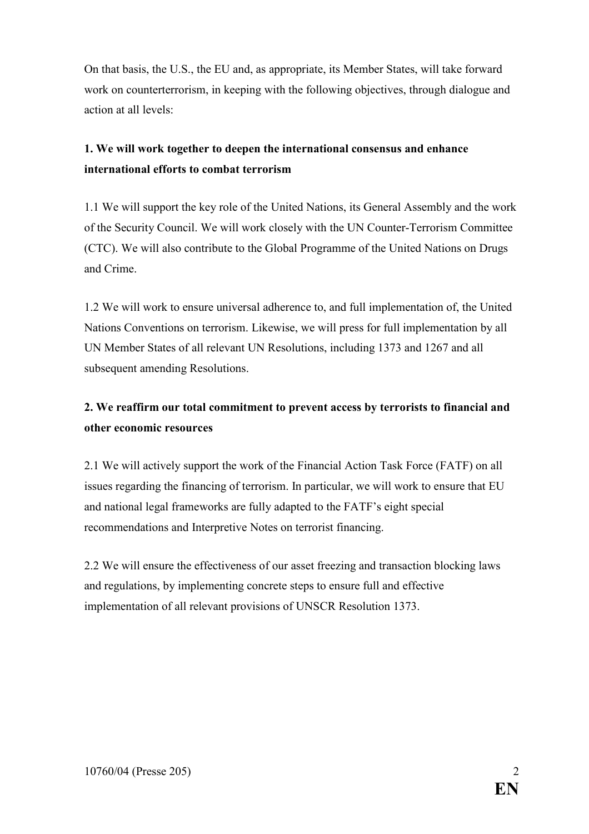On that basis, the U.S., the EU and, as appropriate, its Member States, will take forward work on counterterrorism, in keeping with the following objectives, through dialogue and action at all levels:

#### 1. We will work together to deepen the international consensus and enhance international efforts to combat terrorism

1.1 We will support the key role of the United Nations, its General Assembly and the work of the Security Council. We will work closely with the UN Counter-Terrorism Committee (CTC). We will also contribute to the Global Programme of the United Nations on Drugs and Crime.

1.2 We will work to ensure universal adherence to, and full implementation of, the United Nations Conventions on terrorism. Likewise, we will press for full implementation by all UN Member States of all relevant UN Resolutions, including 1373 and 1267 and all subsequent amending Resolutions.

#### 2. We reaffirm our total commitment to prevent access by terrorists to financial and other economic resources

2.1 We will actively support the work of the Financial Action Task Force (FATF) on all issues regarding the financing of terrorism. In particular, we will work to ensure that EU and national legal frameworks are fully adapted to the FATF's eight special recommendations and Interpretive Notes on terrorist financing.

2.2 We will ensure the effectiveness of our asset freezing and transaction blocking laws and regulations, by implementing concrete steps to ensure full and effective implementation of all relevant provisions of UNSCR Resolution 1373.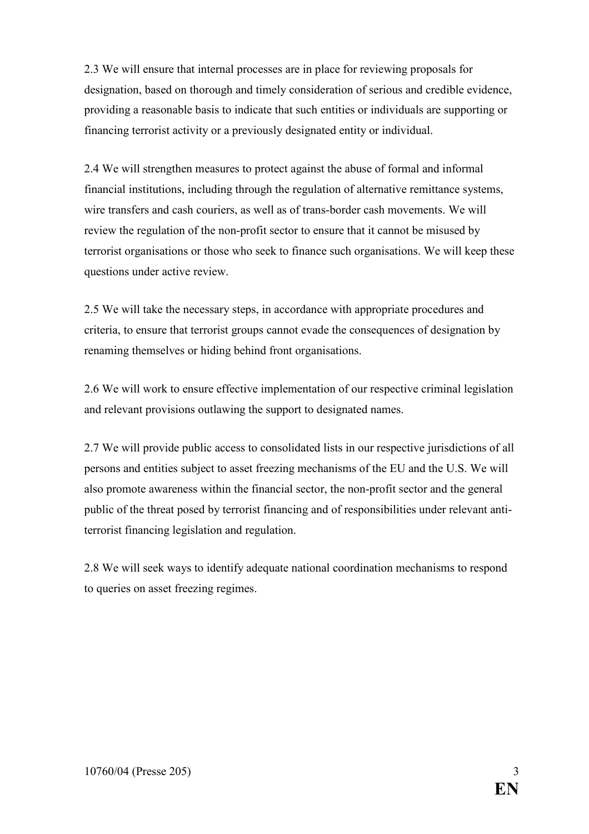2.3 We will ensure that internal processes are in place for reviewing proposals for designation, based on thorough and timely consideration of serious and credible evidence, providing a reasonable basis to indicate that such entities or individuals are supporting or financing terrorist activity or a previously designated entity or individual.

2.4 We will strengthen measures to protect against the abuse of formal and informal financial institutions, including through the regulation of alternative remittance systems, wire transfers and cash couriers, as well as of trans-border cash movements. We will review the regulation of the non-profit sector to ensure that it cannot be misused by terrorist organisations or those who seek to finance such organisations. We will keep these questions under active review.

2.5 We will take the necessary steps, in accordance with appropriate procedures and criteria, to ensure that terrorist groups cannot evade the consequences of designation by renaming themselves or hiding behind front organisations.

2.6 We will work to ensure effective implementation of our respective criminal legislation and relevant provisions outlawing the support to designated names.

2.7 We will provide public access to consolidated lists in our respective jurisdictions of all persons and entities subject to asset freezing mechanisms of the EU and the U.S. We will also promote awareness within the financial sector, the non-profit sector and the general public of the threat posed by terrorist financing and of responsibilities under relevant antiterrorist financing legislation and regulation.

2.8 We will seek ways to identify adequate national coordination mechanisms to respond to queries on asset freezing regimes.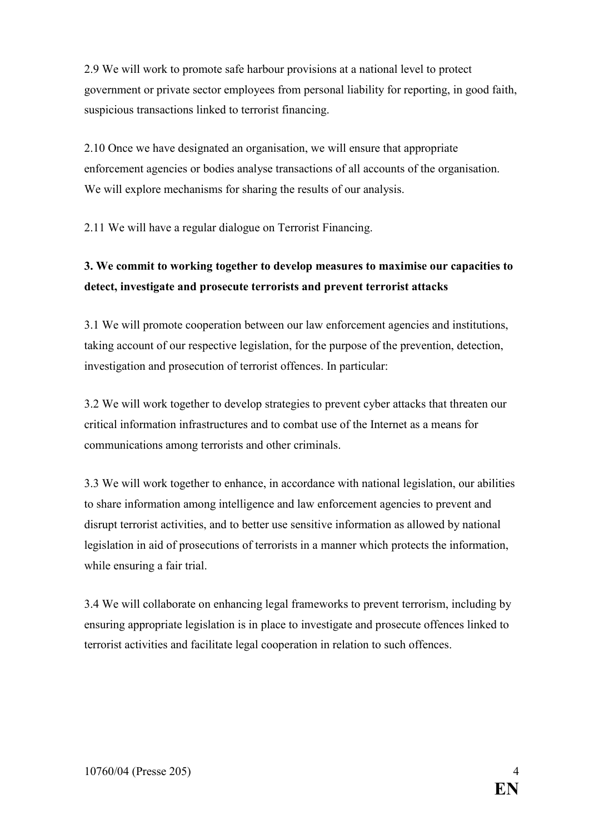2.9 We will work to promote safe harbour provisions at a national level to protect government or private sector employees from personal liability for reporting, in good faith, suspicious transactions linked to terrorist financing.

2.10 Once we have designated an organisation, we will ensure that appropriate enforcement agencies or bodies analyse transactions of all accounts of the organisation. We will explore mechanisms for sharing the results of our analysis.

2.11 We will have a regular dialogue on Terrorist Financing.

#### 3. We commit to working together to develop measures to maximise our capacities to detect, investigate and prosecute terrorists and prevent terrorist attacks

3.1 We will promote cooperation between our law enforcement agencies and institutions, taking account of our respective legislation, for the purpose of the prevention, detection, investigation and prosecution of terrorist offences. In particular:

3.2 We will work together to develop strategies to prevent cyber attacks that threaten our critical information infrastructures and to combat use of the Internet as a means for communications among terrorists and other criminals.

3.3 We will work together to enhance, in accordance with national legislation, our abilities to share information among intelligence and law enforcement agencies to prevent and disrupt terrorist activities, and to better use sensitive information as allowed by national legislation in aid of prosecutions of terrorists in a manner which protects the information, while ensuring a fair trial.

3.4 We will collaborate on enhancing legal frameworks to prevent terrorism, including by ensuring appropriate legislation is in place to investigate and prosecute offences linked to terrorist activities and facilitate legal cooperation in relation to such offences.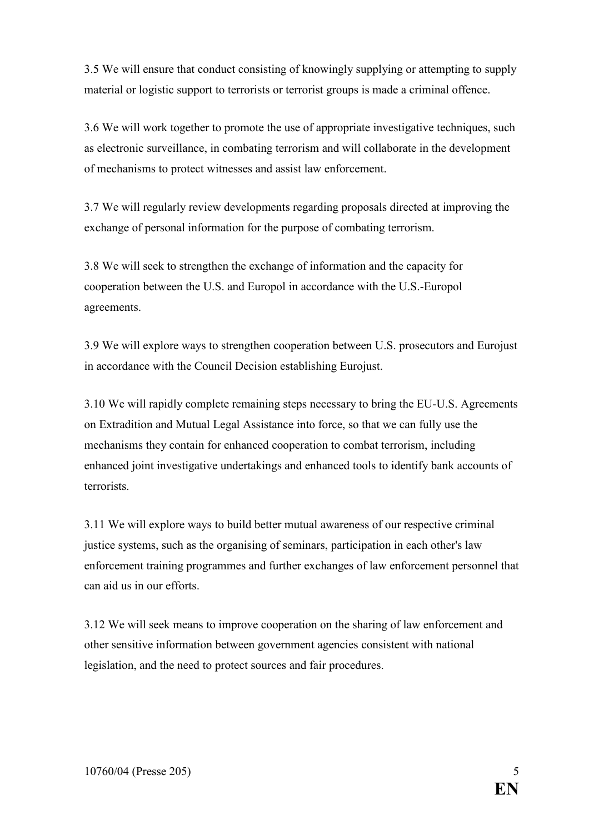3.5 We will ensure that conduct consisting of knowingly supplying or attempting to supply material or logistic support to terrorists or terrorist groups is made a criminal offence.

3.6 We will work together to promote the use of appropriate investigative techniques, such as electronic surveillance, in combating terrorism and will collaborate in the development of mechanisms to protect witnesses and assist law enforcement.

3.7 We will regularly review developments regarding proposals directed at improving the exchange of personal information for the purpose of combating terrorism.

3.8 We will seek to strengthen the exchange of information and the capacity for cooperation between the U.S. and Europol in accordance with the U.S.-Europol agreements.

3.9 We will explore ways to strengthen cooperation between U.S. prosecutors and Eurojust in accordance with the Council Decision establishing Eurojust.

3.10 We will rapidly complete remaining steps necessary to bring the EU-U.S. Agreements on Extradition and Mutual Legal Assistance into force, so that we can fully use the mechanisms they contain for enhanced cooperation to combat terrorism, including enhanced joint investigative undertakings and enhanced tools to identify bank accounts of terrorists.

3.11 We will explore ways to build better mutual awareness of our respective criminal justice systems, such as the organising of seminars, participation in each other's law enforcement training programmes and further exchanges of law enforcement personnel that can aid us in our efforts.

3.12 We will seek means to improve cooperation on the sharing of law enforcement and other sensitive information between government agencies consistent with national legislation, and the need to protect sources and fair procedures.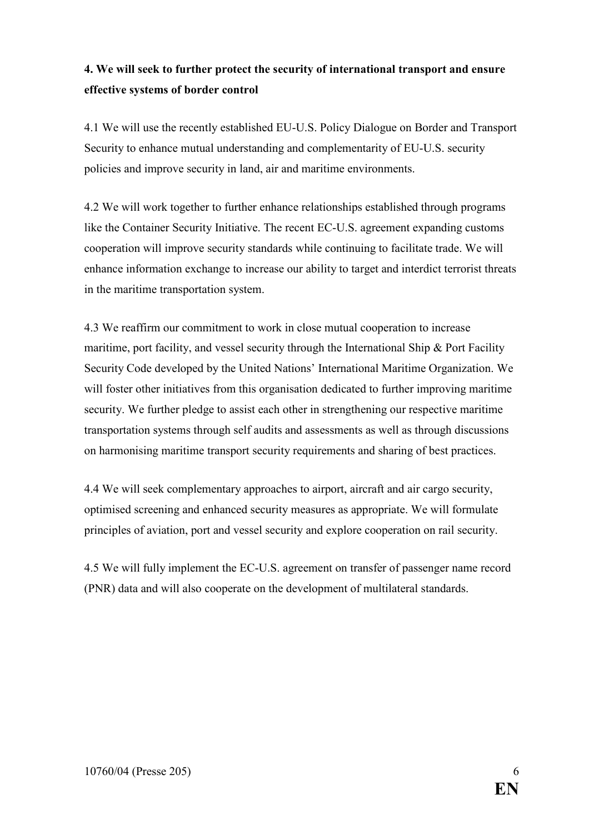#### 4. We will seek to further protect the security of international transport and ensure effective systems of border control

4.1 We will use the recently established EU-U.S. Policy Dialogue on Border and Transport Security to enhance mutual understanding and complementarity of EU-U.S. security policies and improve security in land, air and maritime environments.

4.2 We will work together to further enhance relationships established through programs like the Container Security Initiative. The recent EC-U.S. agreement expanding customs cooperation will improve security standards while continuing to facilitate trade. We will enhance information exchange to increase our ability to target and interdict terrorist threats in the maritime transportation system.

4.3 We reaffirm our commitment to work in close mutual cooperation to increase maritime, port facility, and vessel security through the International Ship & Port Facility Security Code developed by the United Nations' International Maritime Organization. We will foster other initiatives from this organisation dedicated to further improving maritime security. We further pledge to assist each other in strengthening our respective maritime transportation systems through self audits and assessments as well as through discussions on harmonising maritime transport security requirements and sharing of best practices.

4.4 We will seek complementary approaches to airport, aircraft and air cargo security, optimised screening and enhanced security measures as appropriate. We will formulate principles of aviation, port and vessel security and explore cooperation on rail security.

4.5 We will fully implement the EC-U.S. agreement on transfer of passenger name record (PNR) data and will also cooperate on the development of multilateral standards.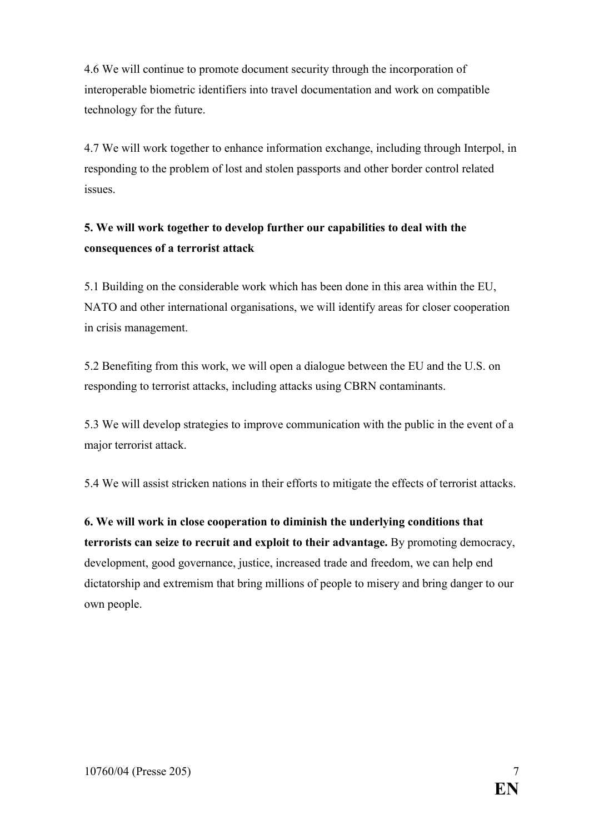4.6 We will continue to promote document security through the incorporation of interoperable biometric identifiers into travel documentation and work on compatible technology for the future.

4.7 We will work together to enhance information exchange, including through Interpol, in responding to the problem of lost and stolen passports and other border control related issues.

#### 5. We will work together to develop further our capabilities to deal with the consequences of a terrorist attack

5.1 Building on the considerable work which has been done in this area within the EU, NATO and other international organisations, we will identify areas for closer cooperation in crisis management.

5.2 Benefiting from this work, we will open a dialogue between the EU and the U.S. on responding to terrorist attacks, including attacks using CBRN contaminants.

5.3 We will develop strategies to improve communication with the public in the event of a major terrorist attack.

5.4 We will assist stricken nations in their efforts to mitigate the effects of terrorist attacks.

6. We will work in close cooperation to diminish the underlying conditions that terrorists can seize to recruit and exploit to their advantage. By promoting democracy, development, good governance, justice, increased trade and freedom, we can help end dictatorship and extremism that bring millions of people to misery and bring danger to our own people.